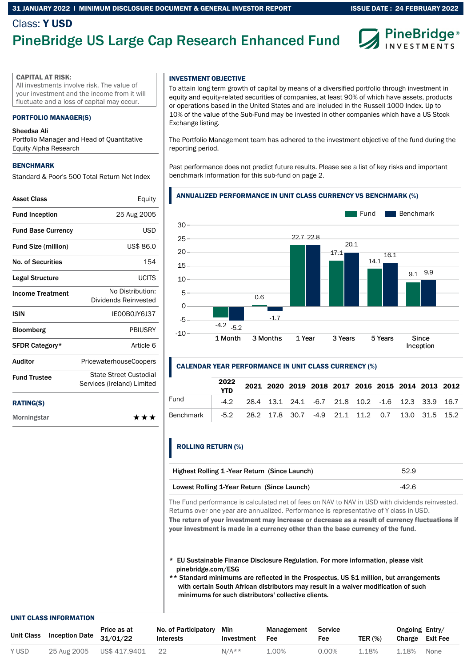## 31 JANUARY 2022 l MINIMUM DISCLOSURE DOCUMENT & GENERAL INVESTOR REPORT

## Class: Y USD

# PineBridge US Large Cap Research Enhanced Fund



#### CAPITAL AT RISK:

All investments involve risk. The value of your investment and the income from it will fluctuate and a loss of capital may occur.

#### PORTFOLIO MANAGER(S)

#### Sheedsa Ali

Portfolio Manager and Head of Quantitative Equity Alpha Research

#### BENCHMARK

Standard & Poor's 500 Total Return Net Index

| Asset Class                | Equity                                                      |
|----------------------------|-------------------------------------------------------------|
| <b>Fund Inception</b>      | 25 Aug 2005                                                 |
| <b>Fund Base Currency</b>  | USD                                                         |
| <b>Fund Size (million)</b> | US\$ 86.0                                                   |
| No. of Securities          | 154                                                         |
| Legal Structure            | LICITS                                                      |
| <b>Income Treatment</b>    | No Distribution:<br>Dividends Reinvested                    |
| ISIN                       | IFOOBOJY6J37                                                |
| <b>Bloomberg</b>           | PBIUSRY                                                     |
| SFDR Category*             | Article 6                                                   |
| Auditor                    | <b>PricewaterhouseCoopers</b>                               |
| <b>Fund Trustee</b>        | <b>State Street Custodial</b><br>Services (Ireland) Limited |
|                            |                                                             |

#### RATING(S)

Morningstar \*\*\*

## INVESTMENT OBJECTIVE

To attain long term growth of capital by means of a diversified portfolio through investment in equity and equity-related securities of companies, at least 90% of which have assets, products or operations based in the United States and are included in the Russell 1000 Index. Up to 10% of the value of the Sub-Fund may be invested in other companies which have a US Stock Exchange listing.

The Portfolio Management team has adhered to the investment objective of the fund during the reporting period.

Past performance does not predict future results. Please see a list of key risks and important benchmark information for this sub-fund on page 2.

#### ANNUALIZED PERFORMANCE IN UNIT CLASS CURRENCY VS BENCHMARK (%)



#### CALENDAR YEAR PERFORMANCE IN UNIT CLASS CURRENCY (%)

|           | 2022<br><b>YTD</b> |                                                                 |  | 2021 2020 2019 2018 2017 2016 2015 2014 2013 2012 |  |  |  |
|-----------|--------------------|-----------------------------------------------------------------|--|---------------------------------------------------|--|--|--|
| Fund      |                    | $-4.2$ 28.4 13.1 24.1 $-6.7$ 21.8 10.2 $-1.6$ 12.3 33.9 16.7    |  |                                                   |  |  |  |
| Benchmark |                    | -5.2  28.2  17.8  30.7  -4.9  21.1  11.2  0.7  13.0  31.5  15.2 |  |                                                   |  |  |  |

## ROLLING RETURN (%)

| Highest Rolling 1 - Year Return (Since Launch) | 52.9  |
|------------------------------------------------|-------|
| Lowest Rolling 1-Year Return (Since Launch)    | -42.6 |

The Fund performance is calculated net of fees on NAV to NAV in USD with dividends reinvested. Returns over one year are annualized. Performance is representative of Y class in USD. The return of your investment may increase or decrease as a result of currency fluctuations if

your investment is made in a currency other than the base currency of the fund.

- \* EU Sustainable Finance Disclosure Regulation. For more information, please visit pinebridge.com/ESG
- \*\* Standard minimums are reflected in the Prospectus, US \$1 million, but arrangements with certain South African distributors may result in a waiver modification of such minimums for such distributors' collective clients.

#### UNIT CLASS INFORMATION

| Unit Class |             | Price as at<br>$\sim$ <sub>r</sub> Jass Inception Date $31/01/22$ | No. of Participatory<br>Interests | Min<br>Investment | Management<br>Fee | Service<br>Fee | <b>TER (%)</b> | Ongoing Entry/<br>Charge Exit Fee |      |
|------------|-------------|-------------------------------------------------------------------|-----------------------------------|-------------------|-------------------|----------------|----------------|-----------------------------------|------|
| Y USD      | 25 Aug 2005 | US\$ 417.9401                                                     | 22                                | $N/A**$           | 1.00%             | 0.00%          | 1.18%          | 1.18%                             | None |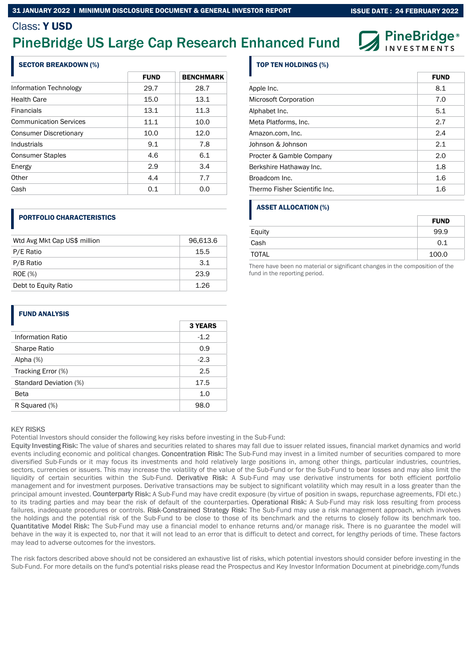### 31 JANUARY 2022 l MINIMUM DISCLOSURE DOCUMENT & GENERAL INVESTOR REPORT

**PineBridge**®

**EUND** 

## Class: Y USD

# PineBridge US Large Cap Research Enhanced Fund

## SECTOR BREAKDOWN (%)

|                               | <b>FUND</b> | <b>BENCHMARK</b> |
|-------------------------------|-------------|------------------|
| Information Technology        | 29.7        | 28.7             |
| <b>Health Care</b>            | 15.0        | 13.1             |
| <b>Financials</b>             | 13.1        | 11.3             |
| <b>Communication Services</b> | 11.1        | 10.0             |
| <b>Consumer Discretionary</b> | 10.0        | 12.0             |
| Industrials                   | 9.1         | 7.8              |
| <b>Consumer Staples</b>       | 4.6         | 6.1              |
| Energy                        | 2.9         | 3.4              |
| Other                         | 4.4         | 7.7              |
| Cash                          | 0.1         | 0.0              |

## PORTFOLIO CHARACTERISTICS

| Wtd Avg Mkt Cap US\$ million | 96,613.6 |
|------------------------------|----------|
| P/E Ratio                    | 15.5     |
| P/B Ratio                    | 3.1      |
| <b>ROE</b> (%)               | 23.9     |
| Debt to Equity Ratio         | 1.26     |

## TOP TEN HOLDINGS (%)

|                               | гүни |
|-------------------------------|------|
| Apple Inc.                    | 8.1  |
| Microsoft Corporation         | 7.0  |
| Alphabet Inc.                 | 5.1  |
| Meta Platforms, Inc.          | 2.7  |
| Amazon.com, Inc.              | 2.4  |
| Johnson & Johnson             | 2.1  |
| Procter & Gamble Company      | 2.0  |
| Berkshire Hathaway Inc.       | 1.8  |
| Broadcom Inc.                 | 1.6  |
| Thermo Fisher Scientific Inc. | 1.6  |

## ASSET ALLOCATION (%)

|              | <b>FUND</b> |
|--------------|-------------|
| Equity       | 99.9        |
| Cash         | 0.1         |
| <b>TOTAL</b> | 100.0       |

There have been no material or significant changes in the composition of the fund in the reporting period.

## FUND ANALYSIS

|                        | <b>3 YEARS</b> |
|------------------------|----------------|
| Information Ratio      | $-1.2$         |
| Sharpe Ratio           | 0.9            |
| Alpha $(%)$            | $-2.3$         |
| Tracking Error (%)     | 2.5            |
| Standard Deviation (%) | 17.5           |
| <b>Beta</b>            | 1.0            |
| R Squared (%)          | 98.0           |

#### **KEY RISKS**

Potential Investors should consider the following key risks before investing in the Sub-Fund:

Equity Investing Risk: The value of shares and securities related to shares may fall due to issuer related issues, financial market dynamics and world events including economic and political changes. Concentration Risk: The Sub-Fund may invest in a limited number of securities compared to more diversified Sub-Funds or it may focus its investments and hold relatively large positions in, among other things, particular industries, countries, sectors, currencies or issuers. This may increase the volatility of the value of the Sub-Fund or for the Sub-Fund to bear losses and may also limit the liquidity of certain securities within the Sub-Fund. Derivative Risk: A Sub-Fund may use derivative instruments for both efficient portfolio management and for investment purposes. Derivative transactions may be subject to significant volatility which may result in a loss greater than the principal amount invested. Counterparty Risk: A Sub-Fund may have credit exposure (by virtue of position in swaps, repurchase agreements, FDI etc.) to its trading parties and may bear the risk of default of the counterparties. Operational Risk: A Sub-Fund may risk loss resulting from process failures, inadequate procedures or controls. Risk-Constrained Strategy Risk: The Sub-Fund may use a risk management approach, which involves the holdings and the potential risk of the Sub-Fund to be close to those of its benchmark and the returns to closely follow its benchmark too. Ouantitative Model Risk: The Sub-Fund may use a financial model to enhance returns and/or manage risk. There is no guarantee the model will behave in the way it is expected to, nor that it will not lead to an error that is difficult to detect and correct, for lengthy periods of time. These factors may lead to adverse outcomes for the investors.

The risk factors described above should not be considered an exhaustive list of risks, which potential investors should consider before investing in the Sub-Fund. For more details on the fund's potential risks please read the Prospectus and Key Investor Information Document at pinebridge.com/funds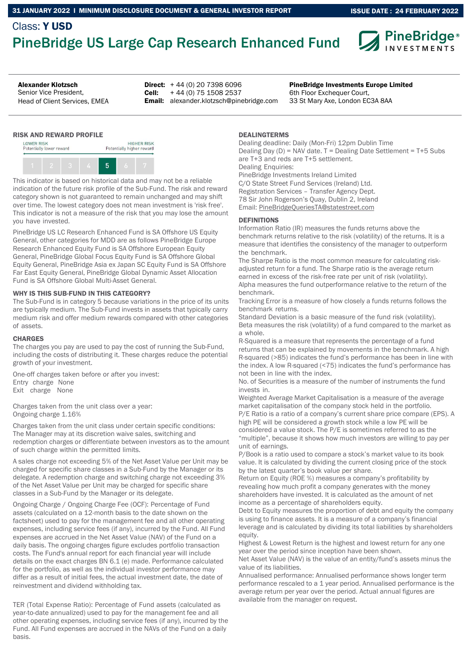## Class: Y USD PineBridge US Large Cap Research Enhanced Fund



Senior Vice President, Head of Client Services, EMEA

Alexander Klotzsch **PineBridge Investments Europe Limited PineBridge Investments Europe Limited Direct:**  $+44(0)$  20 7398 6096 Cell: Email: alexander.klotzsch@pinebridge.com + 44 (0) 75 1508 2537

6th Floor Exchequer Court, 33 St Mary Axe, London EC3A 8AA

## RISK AND REWARD PROFILE



This indicator is based on historical data and may not be a reliable indication of the future risk profile of the Sub-Fund. The risk and reward category shown is not guaranteed to remain unchanged and may shift over time. The lowest category does not mean investment is 'risk free'. This indicator is not a measure of the risk that you may lose the amount you have invested.

PineBridge US LC Research Enhanced Fund is SA Offshore US Equity General, other categories for MDD are as follows PineBridge Europe Research Enhanced Equity Fund is SA Offshore European Equity General, PineBridge Global Focus Equity Fund is SA Offshore Global Equity General, PineBridge Asia ex Japan SC Equity Fund is SA Offshore Far East Equity General, PineBridge Global Dynamic Asset Allocation Fund is SA Offshore Global Multi-Asset General.

#### WHY IS THIS SUB-FUND IN THIS CATEGORY?

The Sub-Fund is in category 5 because variations in the price of its units are typically medium. The Sub-Fund invests in assets that typically carry medium risk and offer medium rewards compared with other categories of assets.

#### **CHARGES**

The charges you pay are used to pay the cost of running the Sub-Fund, including the costs of distributing it. These charges reduce the potential growth of your investment.

One-off charges taken before or after you invest: Entry charge None Exit charge None

Charges taken from the unit class over a year: Ongoing charge 1.16%

Charges taken from the unit class under certain specific conditions: The Manager may at its discretion waive sales, switching and redemption charges or differentiate between investors as to the amount of such charge within the permitted limits.

A sales charge not exceeding 5% of the Net Asset Value per Unit may be charged for specific share classes in a Sub-Fund by the Manager or its delegate. A redemption charge and switching charge not exceeding 3% of the Net Asset Value per Unit may be charged for specific share classes in a Sub-Fund by the Manager or its delegate.

Ongoing Charge / Ongoing Charge Fee (OCF): Percentage of Fund assets (calculated on a 12-month basis to the date shown on the factsheet) used to pay for the management fee and all other operating expenses, including service fees (if any), incurred by the Fund. All Fund expenses are accrued in the Net Asset Value (NAV) of the Fund on a daily basis. The ongoing charges figure excludes portfolio transaction costs. The Fund's annual report for each financial year will include details on the exact charges BN 6.1 (e) made. Performance calculated for the portfolio, as well as the individual investor performance may differ as a result of initial fees, the actual investment date, the date of reinvestment and dividend withholding tax.

TER (Total Expense Ratio): Percentage of Fund assets (calculated as year-to-date annualized) used to pay for the management fee and all other operating expenses, including service fees (if any), incurred by the Fund. All Fund expenses are accrued in the NAVs of the Fund on a daily basis.

### DEALINGTERMS

Dealing deadline: Daily (Mon-Fri) 12pm Dublin Time Dealing Day (D) = NAV date. T = Dealing Date Settlement = T+5 Subs are T+3 and reds are T+5 settlement. Dealing Enquiries: PineBridge Investments Ireland Limited C/O State Street Fund Services (Ireland) Ltd. Registration Services – Transfer Agency Dept. 78 Sir John Rogerson's Quay, Dublin 2, Ireland Email: PineBridgeQueriesTA@statestreet.com

## DEFINITIONS

Information Ratio (IR) measures the funds returns above the benchmark returns relative to the risk (volatility) of the returns. It is a measure that identifies the consistency of the manager to outperform the benchmark.

The Sharpe Ratio is the most common measure for calculating riskadjusted return for a fund. The Sharpe ratio is the average return earned in excess of the risk-free rate per unit of risk (volatility). Alpha measures the fund outperformance relative to the return of the benchmark.

Tracking Error is a measure of how closely a funds returns follows the benchmark returns.

Standard Deviation is a basic measure of the fund risk (volatility). Beta measures the risk (volatility) of a fund compared to the market as a whole.

R-Squared is a measure that represents the percentage of a fund returns that can be explained by movements in the benchmark. A high R-squared (>85) indicates the fund's performance has been in line with the index. A low R-squared (<75) indicates the fund's performance has not been in line with the index.

No. of Securities is a measure of the number of instruments the fund invests in.

Weighted Average Market Capitalisation is a measure of the average market capitalisation of the company stock held in the portfolio. P/E Ratio is a ratio of a company's current share price compare (EPS). A high PE will be considered a growth stock while a low PE will be considered a value stock. The P/E is sometimes referred to as the

"multiple", because it shows how much investors are willing to pay per unit of earnings.

P/Book is a ratio used to compare a stock's market value to its book value. It is calculated by dividing the current closing price of the stock by the latest quarter's book value per share.

Return on Equity (ROE %) measures a company's profitability by revealing how much profit a company generates with the money shareholders have invested. It is calculated as the amount of net income as a percentage of shareholders equity.

Debt to Equity measures the proportion of debt and equity the company is using to finance assets. It is a measure of a company's financial leverage and is calculated by dividing its total liabilities by shareholders equity.

Highest & Lowest Return is the highest and lowest return for any one year over the period since inception have been shown.

Net Asset Value (NAV) is the value of an entity/fund's assets minus the value of its liabilities.

Annualised performance: Annualised performance shows longer term performance rescaled to a 1 year period. Annualised performance is the average return per year over the period. Actual annual figures are available from the manager on request.